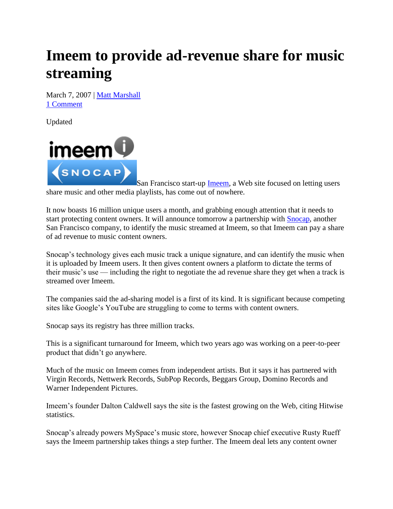## **Imeem to provide ad-revenue share for music streaming**

March 7, 2007 | Matt Marshall 1 Comment

Updated



San Francisco start-up **Imeem**, a Web site focused on letting users share music and other media playlists, has come out of nowhere.

It now boasts 16 million unique users a month, and grabbing enough attention that it needs to start protecting content owners. It will announce tomorrow a partnership with Snocap, another San Francisco company, to identify the music streamed at Imeem, so that Imeem can pay a share of ad revenue to music content owners.

Snocap's technology gives each music track a unique signature, and can identify the music when it is uploaded by Imeem users. It then gives content owners a platform to dictate the terms of their music's use — including the right to negotiate the ad revenue share they get when a track is streamed over Imeem.

The companies said the ad-sharing model is a first of its kind. It is significant because competing sites like Google's YouTube are struggling to come to terms with content owners.

Snocap says its registry has three million tracks.

This is a significant turnaround for Imeem, which two years ago was working on a peer-to-peer product that didn't go anywhere.

Much of the music on Imeem comes from independent artists. But it says it has partnered with Virgin Records, Nettwerk Records, SubPop Records, Beggars Group, Domino Records and Warner Independent Pictures.

Imeem's founder Dalton Caldwell says the site is the fastest growing on the Web, citing Hitwise statistics.

Snocap's already powers MySpace's music store, however Snocap chief executive Rusty Rueff says the Imeem partnership takes things a step further. The Imeem deal lets any content owner